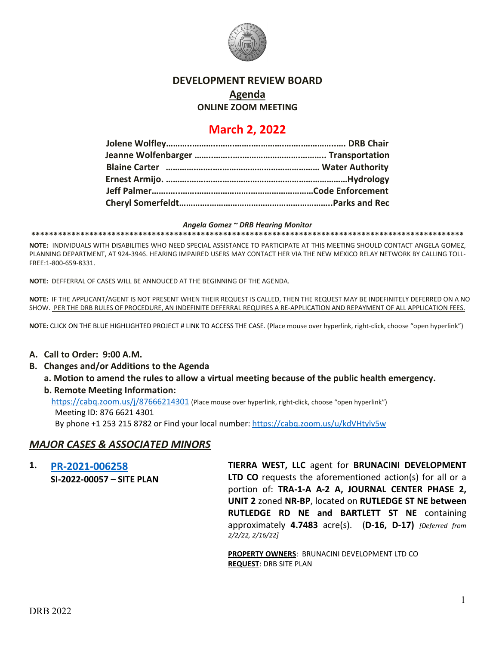

# **DEVELOPMENT REVIEW BOARD**

**Agenda**

**ONLINE ZOOM MEETING**

# **March 2, 2022**

#### *Angela Gomez ~ DRB Hearing Monitor*

**\*\*\*\*\*\*\*\*\*\*\*\*\*\*\*\*\*\*\*\*\*\*\*\*\*\*\*\*\*\*\*\*\*\*\*\*\*\*\*\*\*\*\*\*\*\*\*\*\*\*\*\*\*\*\*\*\*\*\*\*\*\*\*\*\*\*\*\*\*\*\*\*\*\*\*\*\*\*\*\*\*\*\*\*\*\*\*\*\*\*\*\*\*\*\*\*\***

**NOTE:** INDIVIDUALS WITH DISABILITIES WHO NEED SPECIAL ASSISTANCE TO PARTICIPATE AT THIS MEETING SHOULD CONTACT ANGELA GOMEZ, PLANNING DEPARTMENT, AT 924-3946. HEARING IMPAIRED USERS MAY CONTACT HER VIA THE NEW MEXICO RELAY NETWORK BY CALLING TOLL-FREE:1-800-659-8331.

**NOTE:** DEFFERRAL OF CASES WILL BE ANNOUCED AT THE BEGINNING OF THE AGENDA.

**NOTE:** IF THE APPLICANT/AGENT IS NOT PRESENT WHEN THEIR REQUEST IS CALLED, THEN THE REQUEST MAY BE INDEFINITELY DEFERRED ON A NO SHOW. PER THE DRB RULES OF PROCEDURE, AN INDEFINITE DEFERRAL REQUIRES A RE-APPLICATION AND REPAYMENT OF ALL APPLICATION FEES.

**NOTE:** CLICK ON THE BLUE HIGHLIGHTED PROJECT # LINK TO ACCESS THE CASE. (Place mouse over hyperlink, right-click, choose "open hyperlink")

#### **A. Call to Order: 9:00 A.M.**

- **B. Changes and/or Additions to the Agenda**
	- **a. Motion to amend the rules to allow a virtual meeting because of the public health emergency.**
	- **b. Remote Meeting Information:**

<https://cabq.zoom.us/j/87666214301> (Place mouse over hyperlink, right-click, choose "open hyperlink") Meeting ID: 876 6621 4301

By phone +1 253 215 8782 or Find your local number[: https://cabq.zoom.us/u/kdVHtylv5w](https://cabq.zoom.us/u/kdVHtylv5w)

## *MAJOR CASES & ASSOCIATED MINORS*

**1. [PR-2021-006258](http://data.cabq.gov/government/planning/DRB/PR-2021-006258/DRB%20Submittals/) SI-2022-00057 – SITE PLAN TIERRA WEST, LLC** agent for **BRUNACINI DEVELOPMENT LTD CO** requests the aforementioned action(s) for all or a portion of: **TRA-1-A A-2 A, JOURNAL CENTER PHASE 2, UNIT 2** zoned **NR-BP**, located on **RUTLEDGE ST NE between RUTLEDGE RD NE and BARTLETT ST NE** containing approximately **4.7483** acre(s). (**D-16, D-17)** *[Deferred from 2/2/22, 2/16/22]*

> **PROPERTY OWNERS**: BRUNACINI DEVELOPMENT LTD CO **REQUEST**: DRB SITE PLAN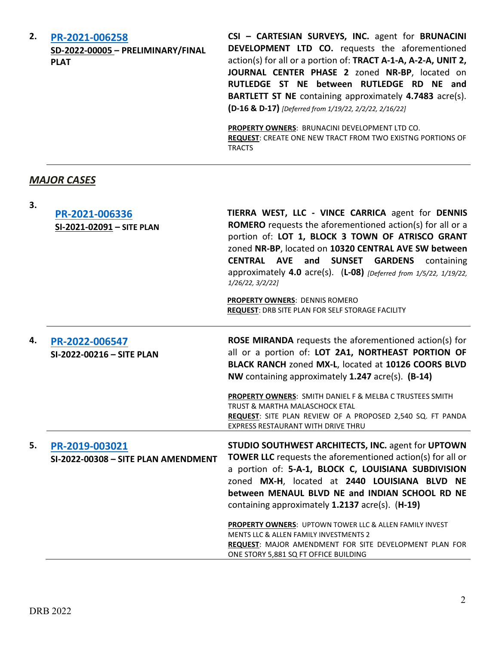| 2. | PR-2021-006258<br>SD-2022-00005 - PRELIMINARY/FINAL<br><b>PLAT</b> | CSI - CARTESIAN SURVEYS, INC. agent for BRUNACINI<br>DEVELOPMENT LTD CO. requests the aforementioned<br>action(s) for all or a portion of: TRACT A-1-A, A-2-A, UNIT 2,<br>JOURNAL CENTER PHASE 2 zoned NR-BP, located on<br>RUTLEDGE ST NE between RUTLEDGE RD NE and<br><b>BARTLETT ST NE</b> containing approximately 4.7483 acre(s).<br>(D-16 & D-17) [Deferred from 1/19/22, 2/2/22, 2/16/22] |
|----|--------------------------------------------------------------------|---------------------------------------------------------------------------------------------------------------------------------------------------------------------------------------------------------------------------------------------------------------------------------------------------------------------------------------------------------------------------------------------------|
|    |                                                                    | <b>PROPERTY OWNERS: BRUNACINI DEVELOPMENT LTD CO.</b><br><b>REQUEST:</b> CREATE ONE NEW TRACT FROM TWO EXISTNG PORTIONS OF<br><b>TRACTS</b>                                                                                                                                                                                                                                                       |

## *MAJOR CASES*

| 3. | PR-2021-006336<br>SI-2021-02091 - SITE PLAN           | TIERRA WEST, LLC - VINCE CARRICA agent for DENNIS<br><b>ROMERO</b> requests the aforementioned action(s) for all or a<br>portion of: LOT 1, BLOCK 3 TOWN OF ATRISCO GRANT<br>zoned NR-BP, located on 10320 CENTRAL AVE SW between<br>CENTRAL AVE and<br><b>SUNSET</b><br><b>GARDENS</b><br>containing<br>approximately 4.0 acre(s). (L-08) [Deferred from 1/5/22, 1/19/22,<br>1/26/22, 3/2/22<br><b>PROPERTY OWNERS: DENNIS ROMERO</b><br><b>REQUEST: DRB SITE PLAN FOR SELF STORAGE FACILITY</b>                                            |
|----|-------------------------------------------------------|----------------------------------------------------------------------------------------------------------------------------------------------------------------------------------------------------------------------------------------------------------------------------------------------------------------------------------------------------------------------------------------------------------------------------------------------------------------------------------------------------------------------------------------------|
| 4. | PR-2022-006547<br>SI-2022-00216 - SITE PLAN           | <b>ROSE MIRANDA</b> requests the aforementioned action(s) for<br>all or a portion of: LOT 2A1, NORTHEAST PORTION OF<br>BLACK RANCH zoned MX-L, located at 10126 COORS BLVD<br>NW containing approximately 1.247 acre(s). (B-14)<br>PROPERTY OWNERS: SMITH DANIEL F & MELBA C TRUSTEES SMITH<br>TRUST & MARTHA MALASCHOCK ETAL<br>REQUEST: SITE PLAN REVIEW OF A PROPOSED 2,540 SQ. FT PANDA<br>EXPRESS RESTAURANT WITH DRIVE THRU                                                                                                            |
| 5. | PR-2019-003021<br>SI-2022-00308 - SITE PLAN AMENDMENT | STUDIO SOUTHWEST ARCHITECTS, INC. agent for UPTOWN<br><b>TOWER LLC</b> requests the aforementioned action(s) for all or<br>a portion of: 5-A-1, BLOCK C, LOUISIANA SUBDIVISION<br>zoned MX-H, located at 2440 LOUISIANA BLVD NE<br>between MENAUL BLVD NE and INDIAN SCHOOL RD NE<br>containing approximately 1.2137 acre(s). (H-19)<br>PROPERTY OWNERS: UPTOWN TOWER LLC & ALLEN FAMILY INVEST<br>MENTS LLC & ALLEN FAMILY INVESTMENTS 2<br>REQUEST: MAJOR AMENDMENT FOR SITE DEVELOPMENT PLAN FOR<br>ONE STORY 5,881 SQ FT OFFICE BUILDING |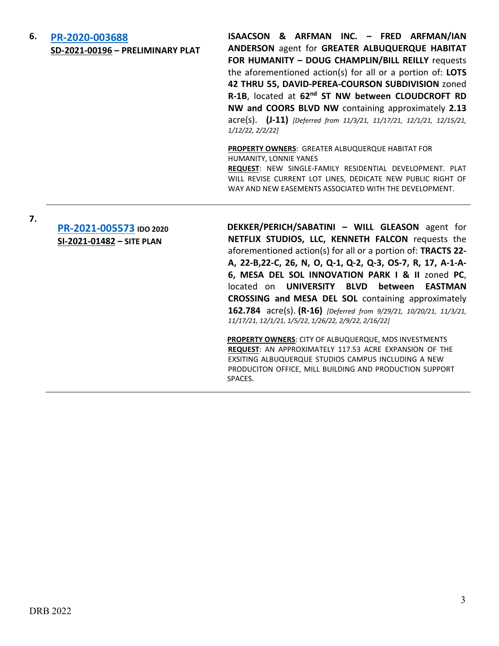## **6. [PR-2020-003688](http://data.cabq.gov/government/planning/DRB/PR-2020-003688/DRB%20Submittals/) SD-2021-00196 – PRELIMINARY PLAT**

**ISAACSON & ARFMAN INC. – FRED ARFMAN/IAN ANDERSON** agent for **GREATER ALBUQUERQUE HABITAT FOR HUMANITY – DOUG CHAMPLIN/BILL REILLY** requests the aforementioned action(s) for all or a portion of: **LOTS 42 THRU 55, DAVID-PEREA-COURSON SUBDIVISION** zoned **R-1B**, located at **62nd ST NW between CLOUDCROFT RD NW and COORS BLVD NW** containing approximately **2.13** acre(s). **(J-11)** *[Deferred from 11/3/21, 11/17/21, 12/1/21, 12/15/21, 1/12/22, 2/2/22]*

#### **PROPERTY OWNERS**: GREATER ALBUQUERQUE HABITAT FOR HUMANITY, LONNIE YANES

**REQUEST**: NEW SINGLE-FAMILY RESIDENTIAL DEVELOPMENT. PLAT WILL REVISE CURRENT LOT LINES, DEDICATE NEW PUBLIC RIGHT OF WAY AND NEW EASEMENTS ASSOCIATED WITH THE DEVELOPMENT.

**7.**

# **[PR-2021-005573](http://data.cabq.gov/government/planning/DRB/PR-2021-005573/DRB%20Submittals/) IDO 2020 SI-2021-01482 – SITE PLAN**

**DEKKER/PERICH/SABATINI – WILL GLEASON** agent for **NETFLIX STUDIOS, LLC, KENNETH FALCON** requests the aforementioned action(s) for all or a portion of: **TRACTS 22- A, 22-B,22-C, 26, N, O, Q-1, Q-2, Q-3, OS-7, R, 17, A-1-A-6, MESA DEL SOL INNOVATION PARK I & II** zoned **PC**, located on **UNIVERSITY BLVD between EASTMAN CROSSING and MESA DEL SOL** containing approximately **162.784** acre(s). **(R-16)** *[Deferred from 9/29/21, 10/20/21, 11/3/21, 11/17/21, 12/1/21, 1/5/22, 1/26/22, 2/9/22, 2/16/22]*

**PROPERTY OWNERS**: CITY OF ALBUQUERQUE, MDS INVESTMENTS **REQUEST**: AN APPROXIMATELY 117.53 ACRE EXPANSION OF THE EXSITING ALBUQUERQUE STUDIOS CAMPUS INCLUDING A NEW PRODUCITON OFFICE, MILL BUILDING AND PRODUCTION SUPPORT SPACES.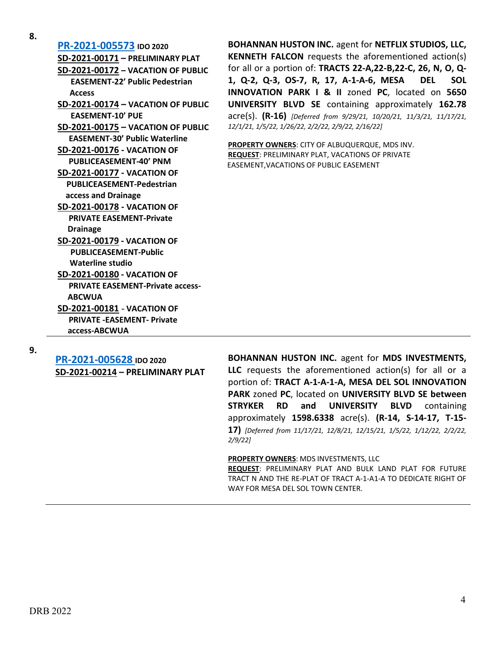**8. [PR-2021-005573](http://data.cabq.gov/government/planning/DRB/PR-2021-005573/DRB%20Submittals/) IDO <sup>2020</sup> SD-2021-00171 – PRELIMINARY PLAT SD-2021-00172 – VACATION OF PUBLIC EASEMENT-22' Public Pedestrian Access SD-2021-00174 – VACATION OF PUBLIC EASEMENT-10' PUE SD-2021-00175 – VACATION OF PUBLIC EASEMENT-30' Public Waterline SD-2021-00176 - VACATION OF PUBLICEASEMENT-40' PNM SD-2021-00177 - VACATION OF PUBLICEASEMENT-Pedestrian access and Drainage SD-2021-00178 - VACATION OF PRIVATE EASEMENT-Private Drainage SD-2021-00179 - VACATION OF PUBLICEASEMENT-Public Waterline studio SD-2021-00180 - VACATION OF PRIVATE EASEMENT-Private access- ABCWUA SD-2021-00181** - **VACATION OF PRIVATE -EASEMENT- Private access-ABCWUA**

**BOHANNAN HUSTON INC.** agent for **NETFLIX STUDIOS, LLC, KENNETH FALCON** requests the aforementioned action(s) for all or a portion of: **TRACTS 22-A,22-B,22-C, 26, N, O, Q-1, Q-2, Q-3, OS-7, R, 17, A-1-A-6, MESA DEL SOL INNOVATION PARK I & II** zoned **PC**, located on **5650 UNIVERSITY BLVD SE** containing approximately **162.78** acre(s). **(R-16)** *[Deferred from 9/29/21, 10/20/21, 11/3/21, 11/17/21, 12/1/21, 1/5/22, 1/26/22, 2/2/22, 2/9/22, 2/16/22]*

**PROPERTY OWNERS**: CITY OF ALBUQUERQUE, MDS INV. **REQUEST**: PRELIMINARY PLAT, VACATIONS OF PRIVATE EASEMENT,VACATIONS OF PUBLIC EASEMENT

**9.**

**[PR-2021-005628](http://data.cabq.gov/government/planning/DRB/PR-2021-005628/DRB%20Submittals/) IDO 2020 SD-2021-00214 – PRELIMINARY PLAT** **BOHANNAN HUSTON INC.** agent for **MDS INVESTMENTS, LLC** requests the aforementioned action(s) for all or a portion of: **TRACT A-1-A-1-A, MESA DEL SOL INNOVATION PARK** zoned **PC**, located on **UNIVERSITY BLVD SE between STRYKER RD and UNIVERSITY BLVD** containing approximately **1598.6338** acre(s). **(R-14, S-14-17, T-15- 17)** *[Deferred from 11/17/21, 12/8/21, 12/15/21, 1/5/22, 1/12/22, 2/2/22, 2/9/22]*

**PROPERTY OWNERS**: MDS INVESTMENTS, LLC

**REQUEST**: PRELIMINARY PLAT AND BULK LAND PLAT FOR FUTURE TRACT N AND THE RE-PLAT OF TRACT A-1-A1-A TO DEDICATE RIGHT OF WAY FOR MESA DEL SOL TOWN CENTER.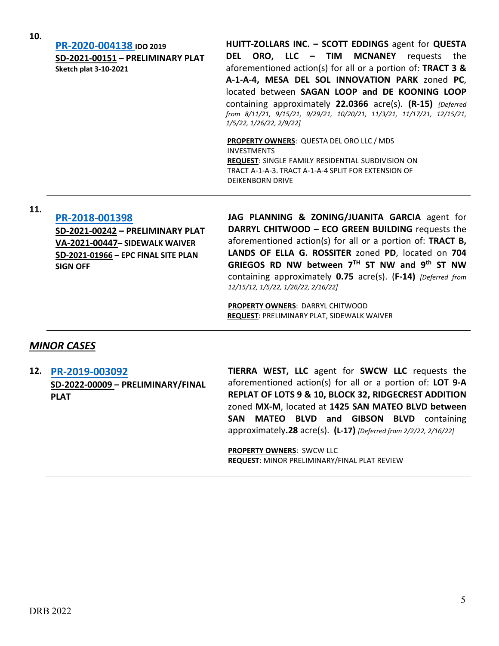| PR-2020-004138 IDO 2019          | HUITT-ZOLLARS INC. - SCOTT EDDINGS agent for QUESTA                    |
|----------------------------------|------------------------------------------------------------------------|
| SD-2021-00151 - PRELIMINARY PLAT | DEL ORO, LLC – TIM MCNANEY<br>requests<br>the                          |
| <b>Sketch plat 3-10-2021</b>     | aforementioned action(s) for all or a portion of: TRACT 3 &            |
|                                  | A-1-A-4, MESA DEL SOL INNOVATION PARK zoned PC,                        |
|                                  | located between SAGAN LOOP and DE KOONING LOOP                         |
|                                  | containing approximately 22.0366 acre(s). (R-15) {Deferred             |
|                                  | from 8/11/21, 9/15/21, 9/29/21, 10/20/21, 11/3/21, 11/17/21, 12/15/21, |
|                                  | 1/5/22, 1/26/22, 2/9/22]                                               |
|                                  | <b>PROPERTY OWNERS: QUESTA DEL ORO LLC / MDS</b>                       |
|                                  | <b>INVESTMENTS</b>                                                     |
|                                  | <b>REQUEST:</b> SINGLE EAMILY RESIDENTIAL SURDIVISION ON               |

**REQUEST**: SINGLE FAMILY RESIDENTIAL SUBDIVISION ON TRACT A-1-A-3. TRACT A-1-A-4 SPLIT FOR EXTENSION OF DEIKENBORN DRIVE

# **11. [PR-2018-001398](http://data.cabq.gov/government/planning/DRB/PR-2018-001398/DRB%20Submittals/)**

**SD-2021-00242 – PRELIMINARY PLAT VA-2021-00447– SIDEWALK WAIVER SD-2021-01966 – EPC FINAL SITE PLAN SIGN OFF**

**JAG PLANNING & ZONING/JUANITA GARCIA** agent for **DARRYL CHITWOOD – ECO GREEN BUILDING** requests the aforementioned action(s) for all or a portion of: **TRACT B, LANDS OF ELLA G. ROSSITER** zoned **PD**, located on **704 GRIEGOS RD NW between 7TH ST NW and 9th ST NW** containing approximately **0.75** acre(s). (**F-14)** *[Deferred from 12/15/12, 1/5/22, 1/26/22, 2/16/22]*

**PROPERTY OWNERS**: DARRYL CHITWOOD **REQUEST**: PRELIMINARY PLAT, SIDEWALK WAIVER

## *MINOR CASES*

**12. [PR-2019-003092](http://data.cabq.gov/government/planning/DRB/PR-2019-003092/DRB%20Submittals/) SD-2022-00009 – PRELIMINARY/FINAL PLAT**

**TIERRA WEST, LLC** agent for **SWCW LLC** requests the aforementioned action(s) for all or a portion of: **LOT 9-A REPLAT OF LOTS 9 & 10, BLOCK 32, RIDGECREST ADDITION**  zoned **MX-M**, located at **1425 SAN MATEO BLVD between SAN MATEO BLVD and GIBSON BLVD** containing approximately**.28** acre(s). **(L-17)** *[Deferred from 2/2/22, 2/16/22]*

**PROPERTY OWNERS**: SWCW LLC **REQUEST**: MINOR PRELIMINARY/FINAL PLAT REVIEW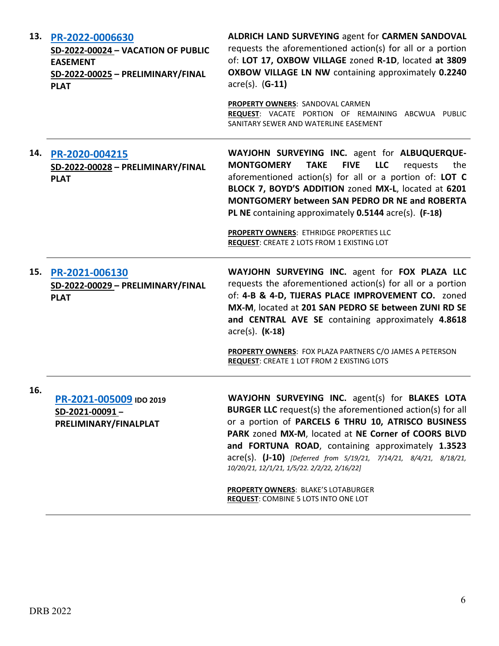| 13. | PR-2022-0006630<br>SD-2022-00024 - VACATION OF PUBLIC<br><b>EASEMENT</b><br>SD-2022-00025 - PRELIMINARY/FINAL<br><b>PLAT</b> | ALDRICH LAND SURVEYING agent for CARMEN SANDOVAL<br>requests the aforementioned action(s) for all or a portion<br>of: LOT 17, OXBOW VILLAGE zoned R-1D, located at 3809<br>OXBOW VILLAGE LN NW containing approximately 0.2240<br>$\arccos$ . (G-11)<br>PROPERTY OWNERS: SANDOVAL CARMEN<br>REQUEST: VACATE PORTION OF REMAINING ABCWUA PUBLIC<br>SANITARY SEWER AND WATERLINE EASEMENT                                                                                                                  |
|-----|------------------------------------------------------------------------------------------------------------------------------|----------------------------------------------------------------------------------------------------------------------------------------------------------------------------------------------------------------------------------------------------------------------------------------------------------------------------------------------------------------------------------------------------------------------------------------------------------------------------------------------------------|
| 14. | PR-2020-004215<br>SD-2022-00028 - PRELIMINARY/FINAL<br><b>PLAT</b>                                                           | WAYJOHN SURVEYING INC. agent for ALBUQUERQUE-<br><b>FIVE</b><br><b>MONTGOMERY</b><br><b>TAKE</b><br><b>LLC</b><br>requests<br>the<br>aforementioned action(s) for all or a portion of: LOT C<br>BLOCK 7, BOYD'S ADDITION zoned MX-L, located at 6201<br><b>MONTGOMERY between SAN PEDRO DR NE and ROBERTA</b><br>PL NE containing approximately 0.5144 acre(s). (F-18)<br>PROPERTY OWNERS: ETHRIDGE PROPERTIES LLC<br>REQUEST: CREATE 2 LOTS FROM 1 EXISTING LOT                                         |
| 15. | PR-2021-006130<br>SD-2022-00029 - PRELIMINARY/FINAL<br><b>PLAT</b>                                                           | WAYJOHN SURVEYING INC. agent for FOX PLAZA LLC<br>requests the aforementioned action(s) for all or a portion<br>of: 4-B & 4-D, TIJERAS PLACE IMPROVEMENT CO. zoned<br>MX-M, located at 201 SAN PEDRO SE between ZUNI RD SE<br>and CENTRAL AVE SE containing approximately 4.8618<br>$\arccos(5)$ . (K-18)<br>PROPERTY OWNERS: FOX PLAZA PARTNERS C/O JAMES A PETERSON<br><b>REQUEST: CREATE 1 LOT FROM 2 EXISTING LOTS</b>                                                                               |
| 16. | PR-2021-005009 IDO 2019<br>SD-2021-00091-<br>PRELIMINARY/FINALPLAT                                                           | WAYJOHN SURVEYING INC. agent(s) for BLAKES LOTA<br><b>BURGER LLC</b> request(s) the aforementioned action(s) for all<br>or a portion of PARCELS 6 THRU 10, ATRISCO BUSINESS<br>PARK zoned MX-M, located at NE Corner of COORS BLVD<br>and FORTUNA ROAD, containing approximately 1.3523<br>acre(s). (J-10) [Deferred from 5/19/21, 7/14/21, 8/4/21, 8/18/21,<br>10/20/21, 12/1/21, 1/5/22. 2/2/22, 2/16/22]<br><b>PROPERTY OWNERS: BLAKE'S LOTABURGER</b><br><b>REQUEST: COMBINE 5 LOTS INTO ONE LOT</b> |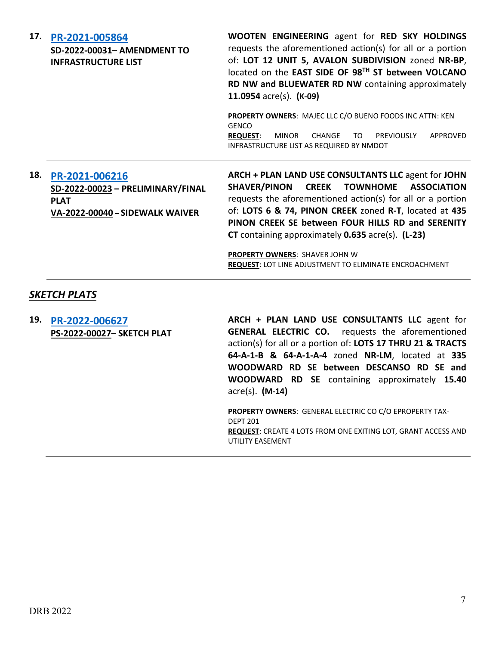| 17. | PR-2021-005864<br>SD-2022-00031- AMENDMENT TO<br><b>INFRASTRUCTURE LIST</b>                           | WOOTEN ENGINEERING agent for RED SKY HOLDINGS<br>requests the aforementioned action(s) for all or a portion<br>of: LOT 12 UNIT 5, AVALON SUBDIVISION zoned NR-BP,<br>located on the EAST SIDE OF 98TH ST between VOLCANO<br>RD NW and BLUEWATER RD NW containing approximately<br>11.0954 $\text{acre}(s)$ . (K-09)                                                                                                                                                         |
|-----|-------------------------------------------------------------------------------------------------------|-----------------------------------------------------------------------------------------------------------------------------------------------------------------------------------------------------------------------------------------------------------------------------------------------------------------------------------------------------------------------------------------------------------------------------------------------------------------------------|
|     |                                                                                                       | PROPERTY OWNERS: MAJEC LLC C/O BUENO FOODS INC ATTN: KEN<br><b>GENCO</b><br>PREVIOUSLY<br>APPROVED<br><b>REQUEST:</b><br><b>MINOR</b><br>CHANGE<br>TO.<br>INFRASTRUCTURE LIST AS REQUIRED BY NMDOT                                                                                                                                                                                                                                                                          |
| 18. | PR-2021-006216<br>SD-2022-00023 - PRELIMINARY/FINAL<br><b>PLAT</b><br>VA-2022-00040 - SIDEWALK WAIVER | ARCH + PLAN LAND USE CONSULTANTS LLC agent for JOHN<br><b>SHAVER/PINON</b><br>CREEK TOWNHOME ASSOCIATION<br>requests the aforementioned action(s) for all or a portion<br>of: LOTS 6 & 74, PINON CREEK zoned R-T, located at 435<br>PINON CREEK SE between FOUR HILLS RD and SERENITY<br><b>CT</b> containing approximately <b>0.635</b> acre(s). ( <b>L-23</b> )<br><b>PROPERTY OWNERS: SHAVER JOHN W</b><br><b>REQUEST: LOT LINE ADJUSTMENT TO ELIMINATE ENCROACHMENT</b> |

## *SKETCH PLATS*

**19. [PR-2022-006627](http://data.cabq.gov/government/planning/DRB/PR-2022-006627/DRB%20Submittals/PR-2022-006627_March_2_2022%20(Sketch)/Application/SOUTH%20BROADWAY%20ACRES.PDF) PS-2022-00027– SKETCH PLAT** **ARCH + PLAN LAND USE CONSULTANTS LLC** agent for **GENERAL ELECTRIC CO.** requests the aforementioned action(s) for all or a portion of: **LOTS 17 THRU 21 & TRACTS 64-A-1-B & 64-A-1-A-4** zoned **NR-LM**, located at **335 WOODWARD RD SE between DESCANSO RD SE and WOODWARD RD SE** containing approximately **15.40** acre(s). **(M-14)**

**PROPERTY OWNERS**: GENERAL ELECTRIC CO C/O EPROPERTY TAX-DEPT 201 **REQUEST**: CREATE 4 LOTS FROM ONE EXITING LOT, GRANT ACCESS AND UTILITY EASEMENT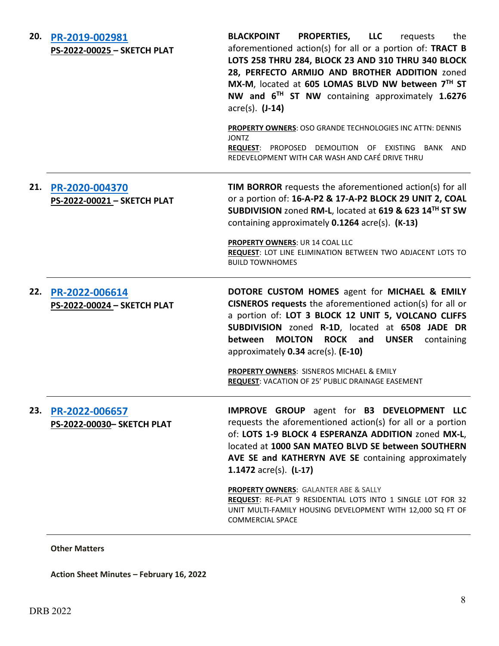| PR-2019-002981<br>PS-2022-00025 - SKETCH PLAT | PROPERTIES, LLC<br><b>BLACKPOINT</b><br>the<br>requests<br>aforementioned action(s) for all or a portion of: TRACT B<br>LOTS 258 THRU 284, BLOCK 23 AND 310 THRU 340 BLOCK<br>28, PERFECTO ARMIJO AND BROTHER ADDITION zoned<br>MX-M, located at 605 LOMAS BLVD NW between 7TH ST<br>NW and 6 <sup>TH</sup> ST NW containing approximately 1.6276<br>$\arccos(5)$ . $(J-14)$<br><b>PROPERTY OWNERS: OSO GRANDE TECHNOLOGIES INC ATTN: DENNIS</b><br><b>JONTZ</b><br>REQUEST: PROPOSED DEMOLITION OF EXISTING BANK AND<br>REDEVELOPMENT WITH CAR WASH AND CAFÉ DRIVE THRU |
|-----------------------------------------------|--------------------------------------------------------------------------------------------------------------------------------------------------------------------------------------------------------------------------------------------------------------------------------------------------------------------------------------------------------------------------------------------------------------------------------------------------------------------------------------------------------------------------------------------------------------------------|
| PR-2020-004370<br>PS-2022-00021 - SKETCH PLAT | <b>TIM BORROR</b> requests the aforementioned action(s) for all<br>or a portion of: 16-A-P2 & 17-A-P2 BLOCK 29 UNIT 2, COAL<br>SUBDIVISION zoned RM-L, located at 619 & 623 14TH ST SW<br>containing approximately 0.1264 acre(s). (K-13)<br><b>PROPERTY OWNERS: UR 14 COAL LLC</b><br>REQUEST: LOT LINE ELIMINATION BETWEEN TWO ADJACENT LOTS TO<br><b>BUILD TOWNHOMES</b>                                                                                                                                                                                              |
| PR-2022-006614<br>PS-2022-00024 - SKETCH PLAT | DOTORE CUSTOM HOMES agent for MICHAEL & EMILY<br>CISNEROS requests the aforementioned action(s) for all or<br>a portion of: LOT 3 BLOCK 12 UNIT 5, VOLCANO CLIFFS<br>SUBDIVISION zoned R-1D, located at 6508 JADE DR<br><b>MOLTON</b><br>ROCK and<br>between<br><b>UNSER</b><br>containing<br>approximately 0.34 acre(s). (E-10)<br>PROPERTY OWNERS: SISNEROS MICHAEL & EMILY<br>REQUEST: VACATION OF 25' PUBLIC DRAINAGE EASEMENT                                                                                                                                       |
| PR-2022-006657<br>PS-2022-00030- SKETCH PLAT  | <b>IMPROVE GROUP</b> agent for <b>B3 DEVELOPMENT LLC</b><br>requests the aforementioned action(s) for all or a portion<br>of: LOTS 1-9 BLOCK 4 ESPERANZA ADDITION zoned MX-L,<br>located at 1000 SAN MATEO BLVD SE between SOUTHERN<br>AVE SE and KATHERYN AVE SE containing approximately<br>1.1472 $\text{acre}(s)$ . (L-17)<br>PROPERTY OWNERS: GALANTER ABE & SALLY<br>REQUEST: RE-PLAT 9 RESIDENTIAL LOTS INTO 1 SINGLE LOT FOR 32<br>UNIT MULTI-FAMILY HOUSING DEVELOPMENT WITH 12,000 SQ FT OF<br><b>COMMERCIAL SPACE</b>                                         |
|                                               |                                                                                                                                                                                                                                                                                                                                                                                                                                                                                                                                                                          |

### **Other Matters**

**Action Sheet Minutes – February 16, 2022**